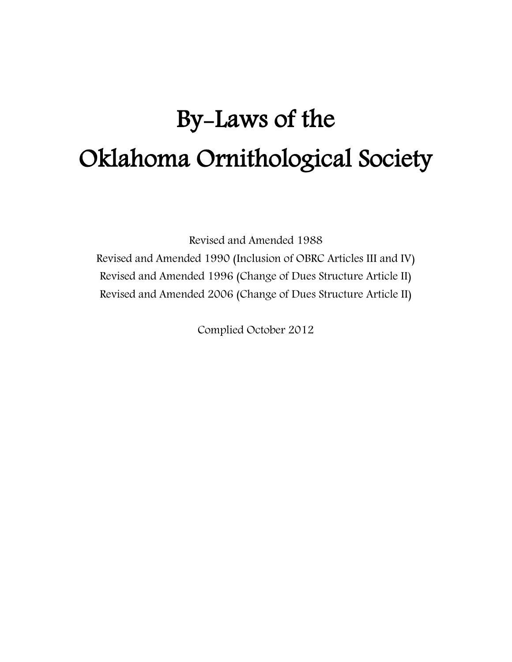# By-Laws of the Oklahoma Ornithological Society

Revised and Amended 1988 Revised and Amended 1990 (Inclusion of OBRC Articles III and IV) Revised and Amended 1996 (Change of Dues Structure Article II) Revised and Amended 2006 (Change of Dues Structure Article II)

Complied October 2012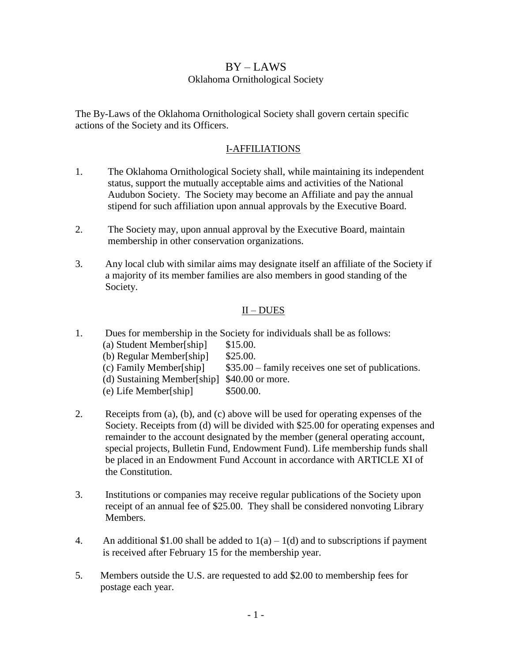## $BY - LAWS$ Oklahoma Ornithological Society

The By-Laws of the Oklahoma Ornithological Society shall govern certain specific actions of the Society and its Officers.

#### I-AFFILIATIONS

- 1. The Oklahoma Ornithological Society shall, while maintaining its independent status, support the mutually acceptable aims and activities of the National Audubon Society. The Society may become an Affiliate and pay the annual stipend for such affiliation upon annual approvals by the Executive Board.
- 2. The Society may, upon annual approval by the Executive Board, maintain membership in other conservation organizations.
- 3. Any local club with similar aims may designate itself an affiliate of the Society if a majority of its member families are also members in good standing of the Society.

## $II - DUES$

- 1. Dues for membership in the Society for individuals shall be as follows: (a) Student Member[ship] \$15.00. (b) Regular Member[ship] \$25.00. (c) Family Member[ship] \$35.00 – family receives one set of publications. (d) Sustaining Member[ship] \$40.00 or more. (e) Life Member[ship] \$500.00.
- 2. Receipts from (a), (b), and (c) above will be used for operating expenses of the Society. Receipts from (d) will be divided with \$25.00 for operating expenses and remainder to the account designated by the member (general operating account, special projects, Bulletin Fund, Endowment Fund). Life membership funds shall be placed in an Endowment Fund Account in accordance with ARTICLE XI of the Constitution.
- 3. Institutions or companies may receive regular publications of the Society upon receipt of an annual fee of \$25.00. They shall be considered nonvoting Library Members.
- 4. An additional \$1.00 shall be added to  $1(a) 1(d)$  and to subscriptions if payment is received after February 15 for the membership year.
- 5. Members outside the U.S. are requested to add \$2.00 to membership fees for postage each year.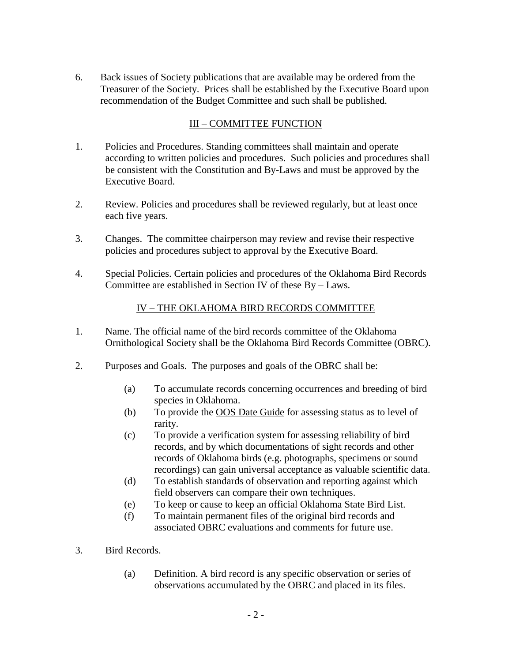6. Back issues of Society publications that are available may be ordered from the Treasurer of the Society. Prices shall be established by the Executive Board upon recommendation of the Budget Committee and such shall be published.

## III – COMMITTEE FUNCTION

- 1. Policies and Procedures. Standing committees shall maintain and operate according to written policies and procedures. Such policies and procedures shall be consistent with the Constitution and By-Laws and must be approved by the Executive Board.
- 2. Review. Policies and procedures shall be reviewed regularly, but at least once each five years.
- 3. Changes. The committee chairperson may review and revise their respective policies and procedures subject to approval by the Executive Board.
- 4. Special Policies. Certain policies and procedures of the Oklahoma Bird Records Committee are established in Section IV of these By – Laws.

## IV – THE OKLAHOMA BIRD RECORDS COMMITTEE

- 1. Name. The official name of the bird records committee of the Oklahoma Ornithological Society shall be the Oklahoma Bird Records Committee (OBRC).
- 2. Purposes and Goals. The purposes and goals of the OBRC shall be:
	- (a) To accumulate records concerning occurrences and breeding of bird species in Oklahoma.
	- (b) To provide the OOS Date Guide for assessing status as to level of rarity.
	- (c) To provide a verification system for assessing reliability of bird records, and by which documentations of sight records and other records of Oklahoma birds (e.g. photographs, specimens or sound recordings) can gain universal acceptance as valuable scientific data.
	- (d) To establish standards of observation and reporting against which field observers can compare their own techniques.
	- (e) To keep or cause to keep an official Oklahoma State Bird List.
	- (f) To maintain permanent files of the original bird records and associated OBRC evaluations and comments for future use.
- 3. Bird Records.
	- (a) Definition. A bird record is any specific observation or series of observations accumulated by the OBRC and placed in its files.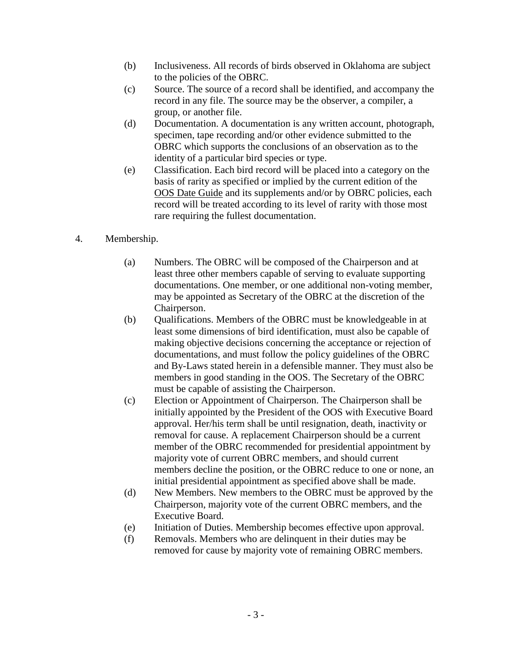- (b) Inclusiveness. All records of birds observed in Oklahoma are subject to the policies of the OBRC.
- (c) Source. The source of a record shall be identified, and accompany the record in any file. The source may be the observer, a compiler, a group, or another file.
- (d) Documentation. A documentation is any written account, photograph, specimen, tape recording and/or other evidence submitted to the OBRC which supports the conclusions of an observation as to the identity of a particular bird species or type.
- (e) Classification. Each bird record will be placed into a category on the basis of rarity as specified or implied by the current edition of the OOS Date Guide and its supplements and/or by OBRC policies, each record will be treated according to its level of rarity with those most rare requiring the fullest documentation.
- 4. Membership.
	- (a) Numbers. The OBRC will be composed of the Chairperson and at least three other members capable of serving to evaluate supporting documentations. One member, or one additional non-voting member, may be appointed as Secretary of the OBRC at the discretion of the Chairperson.
	- (b) Qualifications. Members of the OBRC must be knowledgeable in at least some dimensions of bird identification, must also be capable of making objective decisions concerning the acceptance or rejection of documentations, and must follow the policy guidelines of the OBRC and By-Laws stated herein in a defensible manner. They must also be members in good standing in the OOS. The Secretary of the OBRC must be capable of assisting the Chairperson.
	- (c) Election or Appointment of Chairperson. The Chairperson shall be initially appointed by the President of the OOS with Executive Board approval. Her/his term shall be until resignation, death, inactivity or removal for cause. A replacement Chairperson should be a current member of the OBRC recommended for presidential appointment by majority vote of current OBRC members, and should current members decline the position, or the OBRC reduce to one or none, an initial presidential appointment as specified above shall be made.
	- (d) New Members. New members to the OBRC must be approved by the Chairperson, majority vote of the current OBRC members, and the Executive Board.
	- (e) Initiation of Duties. Membership becomes effective upon approval.
	- (f) Removals. Members who are delinquent in their duties may be removed for cause by majority vote of remaining OBRC members.